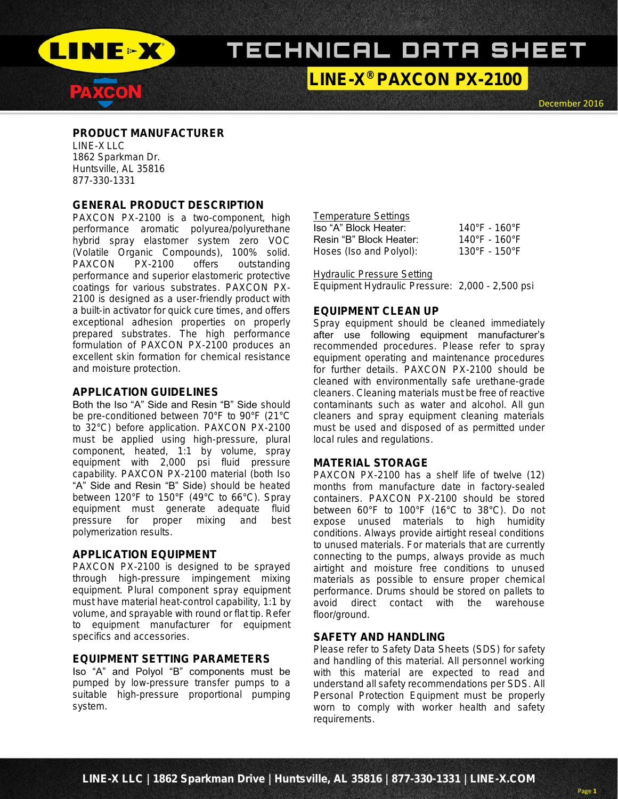

PAXCON

# TECHNICAL DATA SHEET

LINE-X ® PAXCON PX-2100

December 2016

### PRODUCT MANUFACTURER LINE-X LLC 1862 Sparkman Dr. Huntsville, AL 35816 877-330-1331

### GENERAL PRODUCT DESCRIPTION

PAXCON PX-2100 is a two-component, high performance aromatic polyurea/polyurethane hybrid spray elastomer system zero VOC (Volatile Organic Compounds), 100% solid. PAXCON PX-2100 offers outstanding performance and superior elastomeric protective coatings for various substrates. PAXCON PX-2100 is designed as a user-friendly product with a built-in activator for quick cure times, and offers exceptional adhesion properties on properly prepared substrates. The high performance formulation of PAXCON PX-2100 produces an excellent skin formation for chemical resistance and moisture protection.

### APPLICATION GUIDELINES

Both the Iso "A" Side and Resin "B" Side should be pre-conditioned between 70°F to 90°F (21°C to 32°C) before application. PAXCON PX-2100 must be applied using high-pressure, plural component, heated, 1:1 by volume, spray equipment with 2,000 psi fluid pressure capability. PAXCON PX-2100 material (both Iso "A" Side and Resin "B" Side) should be heated between 120°F to 150°F (49°C to 66°C). Spray equipment must generate adequate fluid pressure for proper mixing and best polymerization results.

### APPLICATION EQUIPMENT

PAXCON PX-2100 is designed to be sprayed through high-pressure impingement mixing equipment. Plural component spray equipment must have material heat-control capability, 1:1 by volume, and sprayable with round or flat tip. Refer to equipment manufacturer for equipment specifics and accessories.

## EQUIPMENT SETTING PARAMETERS

Iso "A" and Polyol "B" components must be pumped by low-pressure transfer pumps to a suitable high-pressure proportional pumping system.

# Temperature Settings

| Iso "A" Block Heater:   | $140^{\circ}$ F - 160 $^{\circ}$ F |
|-------------------------|------------------------------------|
| Resin "B" Block Heater: | 140°F - 160°F                      |
| Hoses (Iso and Polyol): | $130^{\circ}$ F - 150 $^{\circ}$ F |

#### Hydraulic Pressure Setting

Equipment Hydraulic Pressure: 2,000 - 2,500 psi

## EQUIPMENT CLEAN UP

Spray equipment should be cleaned immediately after use following equipment manufacturer's recommended procedures. Please refer to spray equipment operating and maintenance procedures for further details. PAXCON PX-2100 should be cleaned with environmentally safe urethane-grade cleaners. Cleaning materials must be free of reactive contaminants such as water and alcohol. All gun cleaners and spray equipment cleaning materials must be used and disposed of as permitted under local rules and regulations.

### MATERIAL STORAGE

PAXCON PX-2100 has a shelf life of twelve (12) months from manufacture date in factory-sealed containers. PAXCON PX-2100 should be stored between 60°F to 100°F (16°C to 38°C). Do not expose unused materials to high humidity conditions. Always provide airtight reseal conditions to unused materials. For materials that are currently connecting to the pumps, always provide as much airtight and moisture free conditions to unused materials as possible to ensure proper chemical performance. Drums should be stored on pallets to avoid direct contact with the warehouse floor/ground.

### SAFETY AND HANDLING

Please refer to Safety Data Sheets (SDS) for safety and handling of this material. All personnel working with this material are expected to read and understand all safety recommendations per SDS. All Personal Protection Equipment must be properly worn to comply with worker health and safety requirements.

Page **1**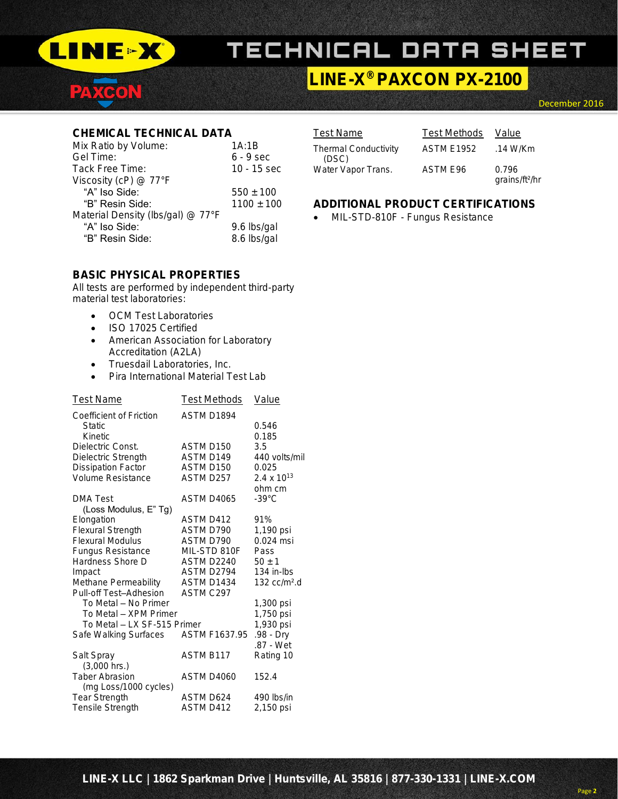

PACON

# TECHNICAL DATA SHEET

# LINE-X ® PAXCON PX-2100

December 2016

# CHEMICAL TECHNICAL DATA

| Mix Ratio by Volume:              | 1A:1B          |
|-----------------------------------|----------------|
| Gel Time:                         | $6 - 9$ sec    |
| Tack Free Time:                   | 10 - 15 sec    |
| Viscosity (cP) @ 77°F             |                |
| "A" Iso Side:                     | $550 + 100$    |
| "B" Resin Side:                   | $1100 \pm 100$ |
| Material Density (lbs/gal) @ 77°F |                |
| "A" Iso Side:                     | 9.6 lbs/gal    |
| "B" Resin Side:                   | 8.6 lbs/gal    |
|                                   |                |

## BASIC PHYSICAL PROPERTIES

All tests are performed by independent third-party material test laboratories:

- OCM Test Laboratories
- ISO 17025 Certified
- **•** American Association for Laboratory Accreditation (A2LA)
- **•** Truesdail Laboratories, Inc.
- Pira International Material Test Lab

| <b>Test Name</b>                                    | <b>Test Methods</b>      | <b>Value</b>                               |  |  |  |  |
|-----------------------------------------------------|--------------------------|--------------------------------------------|--|--|--|--|
| Coefficient of Friction<br><b>Static</b><br>Kinetic | ASTM D1894               | 0.546<br>0.185                             |  |  |  |  |
| Dielectric Const.                                   | ASTM D150                | 3.5                                        |  |  |  |  |
| Dielectric Strength                                 | ASTM D149                | 440 volts/mil                              |  |  |  |  |
| Dissipation Factor                                  | ASTM D150                | 0.025                                      |  |  |  |  |
| Volume Resistance                                   | ASTM D257                | $2.4 \times 10^{13}$<br>ohm cm             |  |  |  |  |
| DMA Test                                            | ASTM D4065               | $-39^{\circ}$ C                            |  |  |  |  |
| (Loss Modulus, E" Tg)                               |                          |                                            |  |  |  |  |
| Elongation                                          | ASTM D412                | 91%                                        |  |  |  |  |
| Flexural Strength                                   | ASTM D790                | 1,190 psi                                  |  |  |  |  |
| <b>Flexural Modulus</b>                             | ASTM D790                | $0.024$ msi                                |  |  |  |  |
| Fungus Resistance                                   | MIL-STD 810F             | Pass                                       |  |  |  |  |
| Hardness Shore D                                    | ASTM D <sub>2240</sub>   | $50 \pm 1$                                 |  |  |  |  |
| Impact                                              | ASTM D2794<br>ASTM D1434 | $134$ in-lbs<br>$132$ cc/m <sup>2</sup> .d |  |  |  |  |
| Methane Permeability<br>Pull-off Test-Adhesion      | ASTM C297                |                                            |  |  |  |  |
| To Metal - No Primer                                |                          | 1,300 psi                                  |  |  |  |  |
| To Metal - XPM Primer                               |                          | 1,750 psi                                  |  |  |  |  |
| To Metal - LX SF-515 Primer                         |                          | 1,930 psi                                  |  |  |  |  |
| Safe Walking Surfaces                               | <b>ASTM F1637.95</b>     | .98 - Dry                                  |  |  |  |  |
|                                                     | ASTM B117                | .87 - Wet                                  |  |  |  |  |
| Salt Spray<br>$(3,000$ hrs.)                        |                          | Rating 10                                  |  |  |  |  |
| <b>Taber Abrasion</b>                               | ASTM D4060               | 152.4                                      |  |  |  |  |
| (mg Loss/1000 cycles)                               |                          |                                            |  |  |  |  |
| Tear Strength                                       | ASTM D624                | 490 lbs/in                                 |  |  |  |  |
| Tensile Strength                                    | ASTM D412                | 2,150 psi                                  |  |  |  |  |
|                                                     |                          |                                            |  |  |  |  |

# Test Name Test Methods Value

Thermal Conductivity ASTM E1952 .14 W/Km (DSC)

Water Vapor Trans. ASTM E96 0.796

grains/ft²/hr

# ADDITIONAL PRODUCT CERTIFICATIONS

• MIL-STD-810F - Fungus Resistance

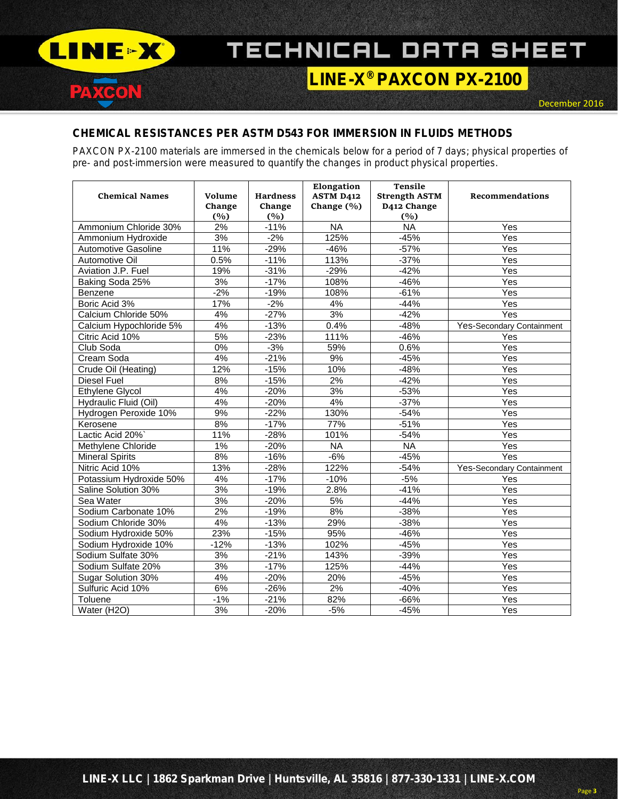

PAXCON

# TECHNICAL DATA SHEET

# LINE-X ® PAXCON PX-2100

# CHEMICAL RESISTANCES PER ASTM D543 FOR IMMERSION IN FLUIDS METHODS

PAXCON PX-2100 materials are immersed in the chemicals below for a period of 7 days; physical properties of pre- and post-immersion were measured to quantify the changes in product physical properties.

| <b>Chemical Names</b>      | Volume<br>Change<br>(%) | <b>Hardness</b><br>Change<br>(%) | Elongation<br><b>ASTM D412</b><br>Change $(\% )$ | <b>Tensile</b><br><b>Strength ASTM</b><br>D412 Change<br>(%) | Recommendations           |
|----------------------------|-------------------------|----------------------------------|--------------------------------------------------|--------------------------------------------------------------|---------------------------|
| Ammonium Chloride 30%      | 2%                      | $-11%$                           | <b>NA</b>                                        | <b>NA</b>                                                    | Yes                       |
| Ammonium Hydroxide         | 3%                      | $-2%$                            | 125%                                             | $-45%$                                                       | Yes                       |
| <b>Automotive Gasoline</b> | 11%                     | $-29%$                           | $-46%$                                           | $-57%$                                                       | Yes                       |
| Automotive Oil             | 0.5%                    | $-11%$                           | 113%                                             | $-37%$                                                       | Yes                       |
| Aviation J.P. Fuel         | 19%                     | $-31%$                           | $-29%$                                           | $-42%$                                                       | Yes                       |
| Baking Soda 25%            | 3%                      | $-17%$                           | 108%                                             | $-46%$                                                       | Yes                       |
| Benzene                    | $-2%$                   | $-19%$                           | 108%                                             | $-61%$                                                       | Yes                       |
| Boric Acid 3%              | 17%                     | $-2%$                            | 4%                                               | $-44%$                                                       | Yes                       |
| Calcium Chloride 50%       | 4%                      | $-27%$                           | 3%                                               | $-42%$                                                       | Yes                       |
| Calcium Hypochloride 5%    | 4%                      | $-13%$                           | 0.4%                                             | $-48%$                                                       | Yes-Secondary Containment |
| Citric Acid 10%            | 5%                      | $-23%$                           | 111%                                             | $-46%$                                                       | Yes                       |
| Club Soda                  | $0\%$                   | $-3%$                            | 59%                                              | 0.6%                                                         | Yes                       |
| Cream Soda                 | 4%                      | $-21%$                           | 9%                                               | $-45%$                                                       | Yes                       |
| Crude Oil (Heating)        | 12%                     | $-15%$                           | 10%                                              | $-48%$                                                       | Yes                       |
| <b>Diesel Fuel</b>         | 8%                      | $-15%$                           | 2%                                               | $-42%$                                                       | Yes                       |
| Ethylene Glycol            | 4%                      | $-20%$                           | 3%                                               | $-53%$                                                       | Yes                       |
| Hydraulic Fluid (Oil)      | 4%                      | $-20%$                           | 4%                                               | $-37%$                                                       | Yes                       |
| Hydrogen Peroxide 10%      | 9%                      | $-22%$                           | 130%                                             | $-54%$                                                       | Yes                       |
| Kerosene                   | 8%                      | $-17%$                           | 77%                                              | $-51%$                                                       | Yes                       |
| Lactic Acid 20%            | 11%                     | $-28%$                           | 101%                                             | $-54%$                                                       | Yes                       |
| Methylene Chloride         | $1\%$                   | $-20%$                           | $\overline{NA}$                                  | <b>NA</b>                                                    | Yes                       |
| <b>Mineral Spirits</b>     | 8%                      | $-16%$                           | $-6%$                                            | $-45%$                                                       | Yes                       |
| Nitric Acid 10%            | 13%                     | $-28%$                           | 122%                                             | $-54%$                                                       | Yes-Secondary Containment |
| Potassium Hydroxide 50%    | 4%                      | $-17%$                           | $-10%$                                           | $-5%$                                                        | Yes                       |
| Saline Solution 30%        | 3%                      | $-19%$                           | 2.8%                                             | $-41%$                                                       | Yes                       |
| Sea Water                  | 3%                      | $-20%$                           | 5%                                               | $-44%$                                                       | Yes                       |
| Sodium Carbonate 10%       | 2%                      | $-19%$                           | 8%                                               | $-38%$                                                       | Yes                       |
| Sodium Chloride 30%        | 4%                      | $-13%$                           | 29%                                              | $-38%$                                                       | Yes                       |
| Sodium Hydroxide 50%       | 23%                     | $-15%$                           | 95%                                              | $-46%$                                                       | Yes                       |
| Sodium Hydroxide 10%       | $-12%$                  | $-13%$                           | 102%                                             | $-45%$                                                       | Yes                       |
| Sodium Sulfate 30%         | 3%                      | $-21%$                           | 143%                                             | $-39%$                                                       | Yes                       |
| Sodium Sulfate 20%         | 3%                      | $-17%$                           | 125%                                             | $-44%$                                                       | Yes                       |
| Sugar Solution 30%         | 4%                      | $-20%$                           | 20%                                              | $-45%$                                                       | Yes                       |
| Sulfuric Acid 10%          | 6%                      | $-26%$                           | 2%                                               | $-40%$                                                       | Yes                       |
| Toluene                    | $-1%$                   | $-21%$                           | 82%                                              | $-66%$                                                       | Yes                       |
| Water (H2O)                | 3%                      | $-20%$                           | $-5%$                                            | $-45%$                                                       | Yes                       |

Page **3**